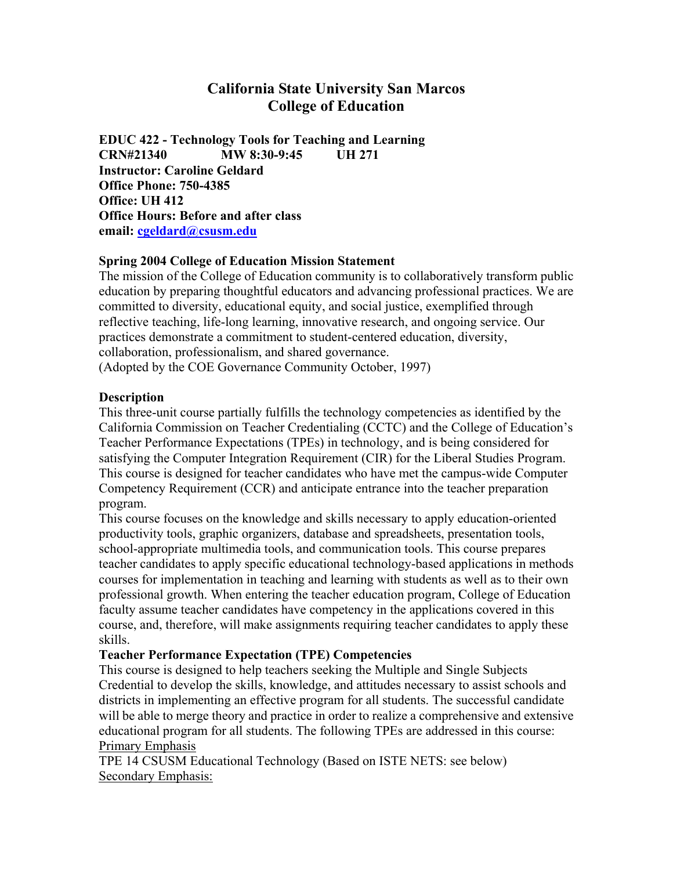# **California State University San Marcos College of Education**

**EDUC 422 - Technology Tools for Teaching and Learning CRN#21340 MW 8:30-9:45 UH 271 Instructor: Caroline Geldard Office Phone: 750-4385 Office: UH 412 Office Hours: Before and after class email: cgeldard@csusm.edu**

# **Spring 2004 College of Education Mission Statement**

The mission of the College of Education community is to collaboratively transform public education by preparing thoughtful educators and advancing professional practices. We are committed to diversity, educational equity, and social justice, exemplified through reflective teaching, life-long learning, innovative research, and ongoing service. Our practices demonstrate a commitment to student-centered education, diversity, collaboration, professionalism, and shared governance.

(Adopted by the COE Governance Community October, 1997)

#### **Description**

This three-unit course partially fulfills the technology competencies as identified by the California Commission on Teacher Credentialing (CCTC) and the College of Education's Teacher Performance Expectations (TPEs) in technology, and is being considered for satisfying the Computer Integration Requirement (CIR) for the Liberal Studies Program. This course is designed for teacher candidates who have met the campus-wide Computer Competency Requirement (CCR) and anticipate entrance into the teacher preparation program.

This course focuses on the knowledge and skills necessary to apply education-oriented productivity tools, graphic organizers, database and spreadsheets, presentation tools, school-appropriate multimedia tools, and communication tools. This course prepares teacher candidates to apply specific educational technology-based applications in methods courses for implementation in teaching and learning with students as well as to their own professional growth. When entering the teacher education program, College of Education faculty assume teacher candidates have competency in the applications covered in this course, and, therefore, will make assignments requiring teacher candidates to apply these skills.

# **Teacher Performance Expectation (TPE) Competencies**

This course is designed to help teachers seeking the Multiple and Single Subjects Credential to develop the skills, knowledge, and attitudes necessary to assist schools and districts in implementing an effective program for all students. The successful candidate will be able to merge theory and practice in order to realize a comprehensive and extensive educational program for all students. The following TPEs are addressed in this course: Primary Emphasis

TPE 14 CSUSM Educational Technology (Based on ISTE NETS: see below) Secondary Emphasis: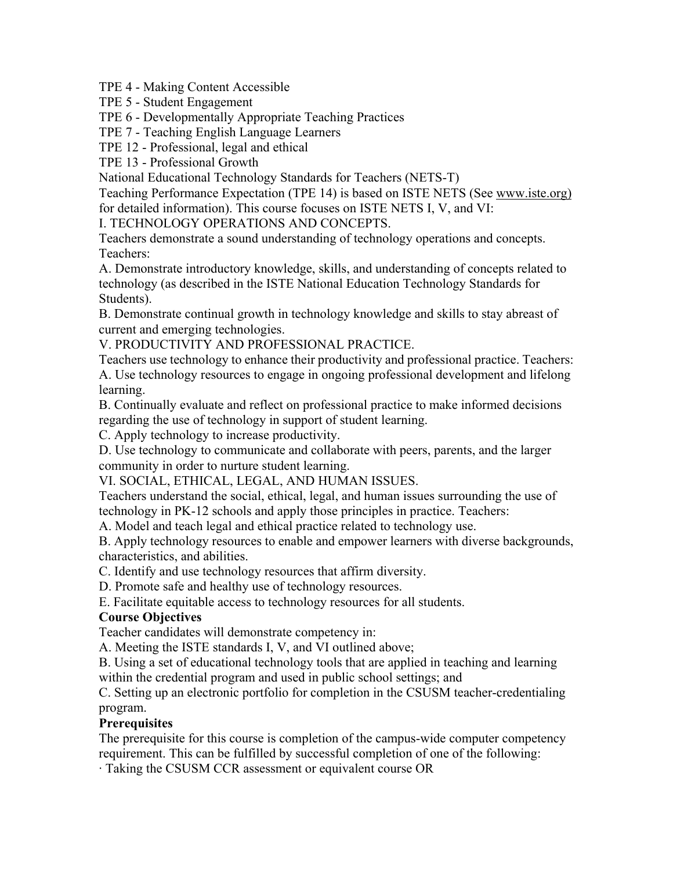TPE 4 - Making Content Accessible

TPE 5 - Student Engagement

TPE 6 - Developmentally Appropriate Teaching Practices

TPE 7 - Teaching English Language Learners

TPE 12 - Professional, legal and ethical

TPE 13 - Professional Growth

National Educational Technology Standards for Teachers (NETS-T)

Teaching Performance Expectation (TPE 14) is based on ISTE NETS (See www.iste.org) for detailed information). This course focuses on ISTE NETS I, V, and VI:

I. TECHNOLOGY OPERATIONS AND CONCEPTS.

Teachers demonstrate a sound understanding of technology operations and concepts. Teachers:

A. Demonstrate introductory knowledge, skills, and understanding of concepts related to technology (as described in the ISTE National Education Technology Standards for Students).

B. Demonstrate continual growth in technology knowledge and skills to stay abreast of current and emerging technologies.

V. PRODUCTIVITY AND PROFESSIONAL PRACTICE.

Teachers use technology to enhance their productivity and professional practice. Teachers: A. Use technology resources to engage in ongoing professional development and lifelong learning.

B. Continually evaluate and reflect on professional practice to make informed decisions regarding the use of technology in support of student learning.

C. Apply technology to increase productivity.

D. Use technology to communicate and collaborate with peers, parents, and the larger community in order to nurture student learning.

VI. SOCIAL, ETHICAL, LEGAL, AND HUMAN ISSUES.

Teachers understand the social, ethical, legal, and human issues surrounding the use of technology in PK-12 schools and apply those principles in practice. Teachers:

A. Model and teach legal and ethical practice related to technology use.

B. Apply technology resources to enable and empower learners with diverse backgrounds, characteristics, and abilities.

C. Identify and use technology resources that affirm diversity.

D. Promote safe and healthy use of technology resources.

E. Facilitate equitable access to technology resources for all students.

# **Course Objectives**

Teacher candidates will demonstrate competency in:

A. Meeting the ISTE standards I, V, and VI outlined above;

B. Using a set of educational technology tools that are applied in teaching and learning within the credential program and used in public school settings; and

C. Setting up an electronic portfolio for completion in the CSUSM teacher-credentialing program.

#### **Prerequisites**

The prerequisite for this course is completion of the campus-wide computer competency requirement. This can be fulfilled by successful completion of one of the following:

· Taking the CSUSM CCR assessment or equivalent course OR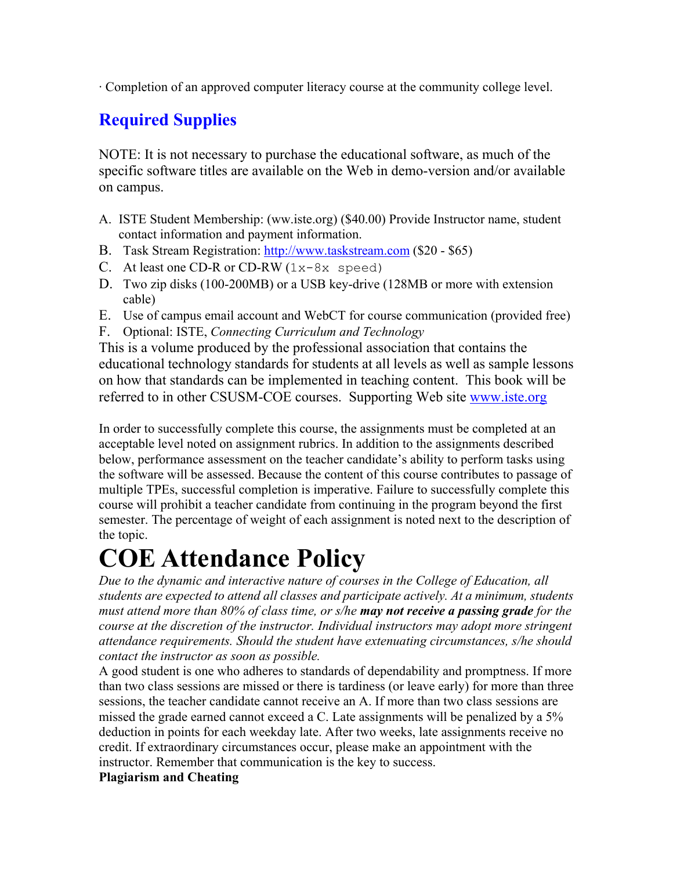· Completion of an approved computer literacy course at the community college level.

# **Required Supplies**

NOTE: It is not necessary to purchase the educational software, as much of the specific software titles are available on the Web in demo-version and/or available on campus.

- A. ISTE Student Membership: (ww.iste.org) (\$40.00) Provide Instructor name, student contact information and payment information.
- B. Task Stream Registration: http://www.taskstream.com (\$20 \$65)
- C. At least one CD-R or CD-RW  $(1x-8x$  speed)
- D. Two zip disks (100-200MB) or a USB key-drive (128MB or more with extension cable)
- E. Use of campus email account and WebCT for course communication (provided free)
- F. Optional: ISTE, *Connecting Curriculum and Technology*

This is a volume produced by the professional association that contains the educational technology standards for students at all levels as well as sample lessons on how that standards can be implemented in teaching content. This book will be referred to in other CSUSM-COE courses. Supporting Web site www.iste.org

In order to successfully complete this course, the assignments must be completed at an acceptable level noted on assignment rubrics. In addition to the assignments described below, performance assessment on the teacher candidate's ability to perform tasks using the software will be assessed. Because the content of this course contributes to passage of multiple TPEs, successful completion is imperative. Failure to successfully complete this course will prohibit a teacher candidate from continuing in the program beyond the first semester. The percentage of weight of each assignment is noted next to the description of the topic.

# **COE Attendance Policy**

*Due to the dynamic and interactive nature of courses in the College of Education, all students are expected to attend all classes and participate actively. At a minimum, students must attend more than 80% of class time, or s/he may not receive a passing grade for the course at the discretion of the instructor. Individual instructors may adopt more stringent attendance requirements. Should the student have extenuating circumstances, s/he should contact the instructor as soon as possible.*

A good student is one who adheres to standards of dependability and promptness. If more than two class sessions are missed or there is tardiness (or leave early) for more than three sessions, the teacher candidate cannot receive an A. If more than two class sessions are missed the grade earned cannot exceed a C. Late assignments will be penalized by a 5% deduction in points for each weekday late. After two weeks, late assignments receive no credit. If extraordinary circumstances occur, please make an appointment with the instructor. Remember that communication is the key to success.

# **Plagiarism and Cheating**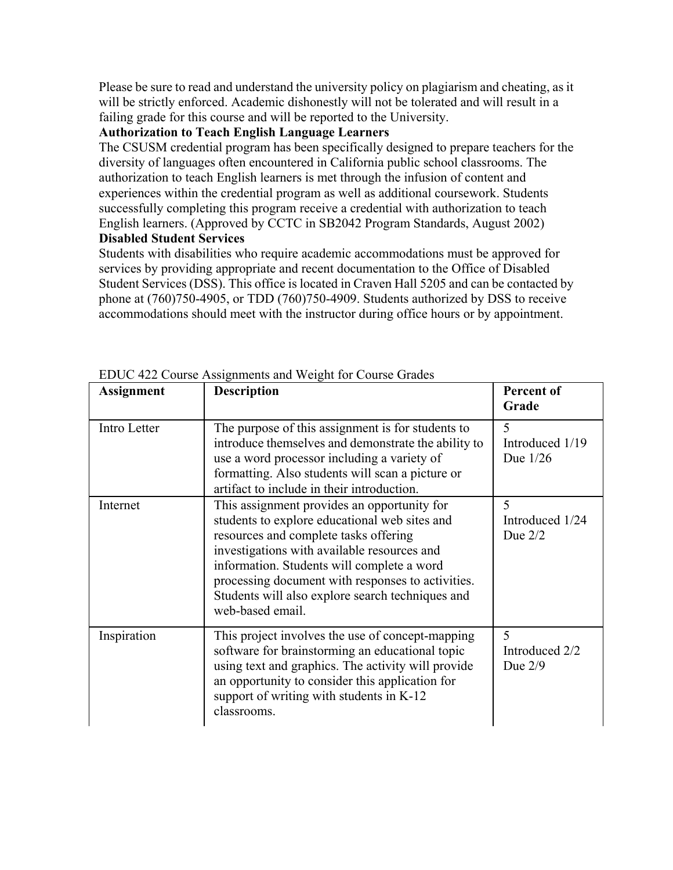Please be sure to read and understand the university policy on plagiarism and cheating, as it will be strictly enforced. Academic dishonestly will not be tolerated and will result in a failing grade for this course and will be reported to the University.

# **Authorization to Teach English Language Learners**

The CSUSM credential program has been specifically designed to prepare teachers for the diversity of languages often encountered in California public school classrooms. The authorization to teach English learners is met through the infusion of content and experiences within the credential program as well as additional coursework. Students successfully completing this program receive a credential with authorization to teach English learners. (Approved by CCTC in SB2042 Program Standards, August 2002) **Disabled Student Services**

Students with disabilities who require academic accommodations must be approved for services by providing appropriate and recent documentation to the Office of Disabled Student Services (DSS). This office is located in Craven Hall 5205 and can be contacted by phone at (760)750-4905, or TDD (760)750-4909. Students authorized by DSS to receive accommodations should meet with the instructor during office hours or by appointment.

|                   | ED OC 122 Course Hostgillionis and Weight for Course Grades                                                                                                                                                                                                                                                                                                     | Percent of                                    |
|-------------------|-----------------------------------------------------------------------------------------------------------------------------------------------------------------------------------------------------------------------------------------------------------------------------------------------------------------------------------------------------------------|-----------------------------------------------|
| <b>Assignment</b> | <b>Description</b>                                                                                                                                                                                                                                                                                                                                              | Grade                                         |
| Intro Letter      | The purpose of this assignment is for students to<br>introduce themselves and demonstrate the ability to<br>use a word processor including a variety of<br>formatting. Also students will scan a picture or<br>artifact to include in their introduction.                                                                                                       | 5<br>Introduced 1/19<br>Due 1/26              |
| Internet          | This assignment provides an opportunity for<br>students to explore educational web sites and<br>resources and complete tasks offering<br>investigations with available resources and<br>information. Students will complete a word<br>processing document with responses to activities.<br>Students will also explore search techniques and<br>web-based email. | $\varsigma$<br>Introduced 1/24<br>Due $2/2$   |
| Inspiration       | This project involves the use of concept-mapping<br>software for brainstorming an educational topic<br>using text and graphics. The activity will provide<br>an opportunity to consider this application for<br>support of writing with students in K-12<br>classrooms.                                                                                         | $\overline{5}$<br>Introduced 2/2<br>Due $2/9$ |

EDUC 422 Course Assignments and Weight for Course Grades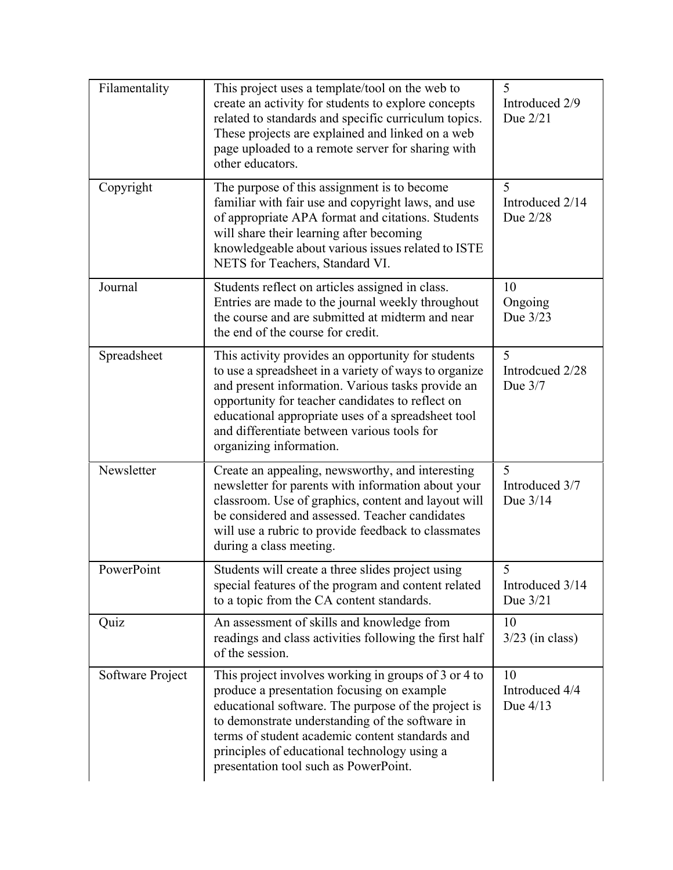| Filamentality    | This project uses a template/tool on the web to<br>create an activity for students to explore concepts<br>related to standards and specific curriculum topics.<br>These projects are explained and linked on a web<br>page uploaded to a remote server for sharing with<br>other educators.                                                              | 5<br>Introduced 2/9<br>Due 2/21  |
|------------------|----------------------------------------------------------------------------------------------------------------------------------------------------------------------------------------------------------------------------------------------------------------------------------------------------------------------------------------------------------|----------------------------------|
| Copyright        | The purpose of this assignment is to become<br>familiar with fair use and copyright laws, and use<br>of appropriate APA format and citations. Students<br>will share their learning after becoming<br>knowledgeable about various issues related to ISTE<br>NETS for Teachers, Standard VI.                                                              | 5<br>Introduced 2/14<br>Due 2/28 |
| Journal          | Students reflect on articles assigned in class.<br>Entries are made to the journal weekly throughout<br>the course and are submitted at midterm and near<br>the end of the course for credit.                                                                                                                                                            | 10<br>Ongoing<br>Due 3/23        |
| Spreadsheet      | This activity provides an opportunity for students<br>to use a spreadsheet in a variety of ways to organize<br>and present information. Various tasks provide an<br>opportunity for teacher candidates to reflect on<br>educational appropriate uses of a spreadsheet tool<br>and differentiate between various tools for<br>organizing information.     | 5<br>Introdcued 2/28<br>Due 3/7  |
| Newsletter       | Create an appealing, newsworthy, and interesting<br>newsletter for parents with information about your<br>classroom. Use of graphics, content and layout will<br>be considered and assessed. Teacher candidates<br>will use a rubric to provide feedback to classmates<br>during a class meeting.                                                        | 5<br>Introduced 3/7<br>Due 3/14  |
| PowerPoint       | Students will create a three slides project using<br>special features of the program and content related<br>to a topic from the CA content standards.                                                                                                                                                                                                    | 5<br>Introduced 3/14<br>Due 3/21 |
| Quiz             | An assessment of skills and knowledge from<br>readings and class activities following the first half<br>of the session.                                                                                                                                                                                                                                  | 10<br>$3/23$ (in class)          |
| Software Project | This project involves working in groups of 3 or 4 to<br>produce a presentation focusing on example<br>educational software. The purpose of the project is<br>to demonstrate understanding of the software in<br>terms of student academic content standards and<br>principles of educational technology using a<br>presentation tool such as PowerPoint. | 10<br>Introduced 4/4<br>Due 4/13 |